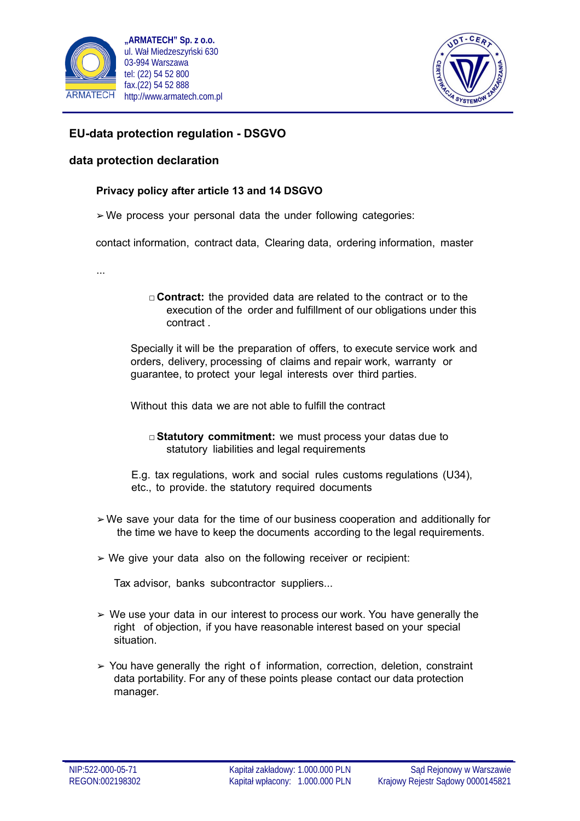



## **EU-data protection regulation - DSGVO**

## **data protection declaration**

## **Privacy policy after article 13 and 14 DSGVO**

 $\triangleright$  We process your personal data the under following categories:

contact information, contract data, Clearing data, ordering information, master

...

□ **Contract:** the provided data are related to the contract or to the execution of the order and fulfillment of our obligations under this contract .

Specially it will be the preparation of offers, to execute service work and orders, delivery, processing of claims and repair work, warranty or guarantee, to protect your legal interests over third parties.

Without this data we are not able to fulfill the contract

- □**Statutory commitment:** we must process your datas due to statutory liabilities and legal requirements
- E.g. tax regulations, work and social rules customs regulations (U34), etc., to provide. the statutory required documents
- $\geq$  We save your data for the time of our business cooperation and additionally for the time we have to keep the documents according to the legal requirements.
- $\triangleright$  We give your data also on the following receiver or recipient:

Tax advisor, banks subcontractor suppliers...

- $\geq$  We use your data in our interest to process our work. You have generally the right of objection, if you have reasonable interest based on your special situation.
- $>$  You have generally the right of information, correction, deletion, constraint data portability. For any of these points please contact our data protection manager.